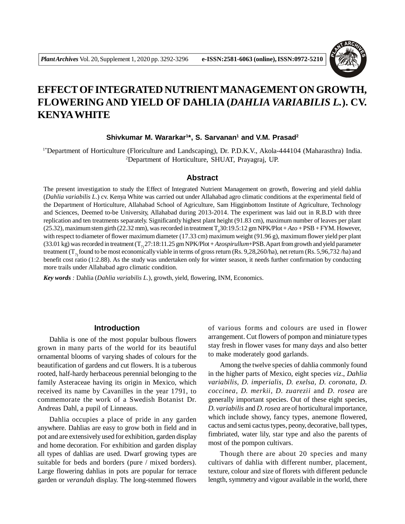

# **EFFECT OF INTEGRATED NUTRIENT MANAGEMENT ON GROWTH, FLOWERINGAND YIELD OF DAHLIA (***DAHLIA VARIABILIS L.***). CV. KENYAWHITE**

#### **Shivkumar M. Wararkar<sup>1</sup> \*, S. Sarvanan<sup>1</sup> and V.M. Prasad<sup>2</sup>**

1\*Department of Horticulture (Floriculture and Landscaping), Dr. P.D.K.V., Akola-444104 (Maharasthra) India. <sup>2</sup>Department of Horticulture, SHUAT, Prayagraj, UP.

#### **Abstract**

The present investigation to study the Effect of Integrated Nutrient Management on growth, flowering and yield dahlia (*Dahlia variabilis L*.) cv. Kenya White was carried out under Allahabad agro climatic conditions at the experimental field of the Department of Horticulture, Allahabad School of Agriculture, Sam Higginbottom Institute of Agriculture, Technology and Sciences, Deemed to-be University, Allahabad during 2013-2014. The experiment was laid out in R.B.D with three replication and ten treatments separately. Significantly highest plant height (91.83 cm), maximum number of leaves per plant  $(25.32)$ , maximum stem girth  $(22.32 \text{ mm})$ , was recorded in treatment  $T_g30:19.5:12 \text{ gm NPK/Plot} + Azo + PSB + FYM$ . However, with respect to diameter of flower maximum diameter (17.33 cm) maximum weight (91.96 g), maximum flower yield per plant (33.01 kg) was recorded in treatment  $(T_2, 27:18:11.25 \text{ gm} \text{NPK/Plot} + Azospirulum+PSB$ . Apart from growth and yield parameter treatment  $(T<sub>2</sub>$  found to be most economically viable in terms of gross return (Rs. 9,28,260/ha), net return (Rs. 5,96,732 /ha) and benefit cost ratio (1:2.88). As the study was undertaken only for winter season, it needs further confirmation by conducting more trails under Allahabad agro climatic condition.

*Key words :* Dahlia (*Dahlia variabilis L.*), growth, yield, flowering, INM, Economics.

## **Introduction**

Dahlia is one of the most popular bulbous flowers grown in many parts of the world for its beautiful ornamental blooms of varying shades of colours for the beautification of gardens and cut flowers. It is a tuberous rooted, half-hardy herbaceous perennial belonging to the family Asteraceae having its origin in Mexico, which received its name by Cavanilles in the year 1791, to commemorate the work of a Swedish Botanist Dr. Andreas Dahl, a pupil of Linneaus.

Dahlia occupies a place of pride in any garden anywhere. Dahlias are easy to grow both in field and in pot and are extensively used for exhibition, garden display and home decoration. For exhibition and garden display all types of dahlias are used. Dwarf growing types are suitable for beds and borders (pure / mixed borders). Large flowering dahlias in pots are popular for terrace garden or *verandah* display. The long-stemmed flowers of various forms and colours are used in flower arrangement. Cut flowers of pompon and miniature types stay fresh in flower vases for many days and also better to make moderately good garlands.

Among the twelve species of dahlia commonly found in the higher parts of Mexico, eight species *viz*., *Dahlia variabilis, D. imperialis, D. exelsa, D. coronata, D. coccinea, D. merkii, D. zuarezii* and *D. rosea* are generally important species. Out of these eight species, *D. variabilis* and *D. rosea* are of horticultural importance, which include showy, fancy types, anemone flowered, cactus and semi cactus types, peony, decorative, ball types, fimbriated, water lily, star type and also the parents of most of the pompon cultivars.

Though there are about 20 species and many cultivars of dahlia with different number, placement, texture, colour and size of florets with different peduncle length, symmetry and vigour available in the world, there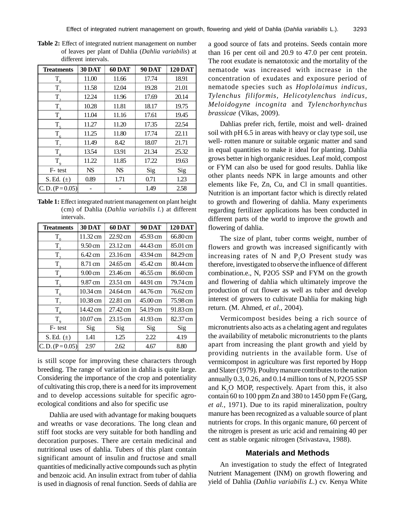| <b>Treatments</b> | <b>30 DAT</b> | <b>60 DAT</b> | <b>90 DAT</b> | <b>120 DAT</b> |  |
|-------------------|---------------|---------------|---------------|----------------|--|
| $T_{\alpha}$      | 11.00         | 11.66         | 17.74         | 18.91          |  |
| T                 | 11.58         | 12.04         | 19.28         | 21.01          |  |
| T,                | 12.24         | 11.96         | 17.69         | 20.14          |  |
| $T_{\rm a}$       | 10.28         | 11.81         | 18.17         | 19.75          |  |
| $T_{\rm A}$       | 11.04         | 11.16         | 17.61         | 19.45          |  |
| $T_{\zeta}$       | 11.27         | 11.20         | 17.35         | 22.54          |  |
| $T_{6}$           | 11.25         | 11.80         | 17.74         | 22.11          |  |
| $T_{7}$           | 11.49         | 8.42          | 18.07         | 21.71<br>25.32 |  |
| $T_{\rm g}$       | 13.54         | 13.91         | 21.34         |                |  |
| $T_{\rm o}$       | 11.22         | 11.85         | 17.22         | 19.63          |  |
| F-test            | <b>NS</b>     | <b>NS</b>     | Sig           | Sig            |  |
| S.Ed. $(\pm)$     | 0.89          | 1.71          | 0.71          | 1.23           |  |
| $C.D. (P=0.05)$   |               |               | 1.49          | 2.58           |  |

**Table 2:** Effect of integrated nutrient management on number of leaves per plant of Dahlia (*Dahlia variabilis*) at different intervals.

**Table 1:** Effect integrated nutrient management on plant height (cm) of Dahlia (*Dahlia variabilis l.*) at different intervals.

| <b>Treatments</b> | <b>30 DAT</b>     | <b>60 DAT</b>      | <b>90 DAT</b> | <b>120 DAT</b> |  |
|-------------------|-------------------|--------------------|---------------|----------------|--|
| $T_{\alpha}$      | 11.32 cm          |                    | 45.93 cm      | 66.80 cm       |  |
| T.                | $9.50 \text{ cm}$ | $23.12 \text{ cm}$ | 44.43 cm      | 85.01 cm       |  |
| $T_{\gamma}$      | $6.42 \text{ cm}$ | $23.16 \text{ cm}$ | 43.94 cm      | 84.29 cm       |  |
| $T_{\rm a}$       | 8.71 cm           | 24.65 cm           | 45.42 cm      | 80.44 cm       |  |
| $T_{\rm A}$       | $9.00 \text{ cm}$ | 23.46 cm           | 46.55 cm      | 86.60 cm       |  |
| $T_{5}$           | 9.87 cm           | 23.51 cm           | 44.91 cm      | 79.74 cm       |  |
| $T_{6}$           | 10.34 cm          | 24.64 cm           | 44.76 cm      | 76.62 cm       |  |
| $T_{\tau}$        | 10.38 cm          | 22.81 cm           | 45.00 cm      | 75.98 cm       |  |
| $T_{\rm g}$       | 14.42 cm          | 27.42 cm           | 54.19 cm      | 91.83 cm       |  |
| $T_{\rm q}$       | 10.07 cm          | 23.15 cm           | 41.93 cm      | 82.37 cm       |  |
| F-test            | Sig               | Sig                | Sig           | Sig            |  |
| S.Ed. $(\pm)$     | 1.41              | 1.25               | 2.22          | 4.19           |  |
| $C.D. (P=0.05)$   | 2.97              | 2.62               | 4.67          | 8.80           |  |

is still scope for improving these characters through breeding. The range of variation in dahlia is quite large. Considering the importance of the crop and potentiality of cultivating this crop, there is a need for its improvement and to develop accessions suitable for specific agroecological conditions and also for specific use

Dahlia are used with advantage for making bouquets and wreaths or vase decorations. The long clean and stiff foot stocks are very suitable for both handling and decoration purposes. There are certain medicinal and nutritional uses of dahlia. Tubers of this plant contain significant amount of insulin and fructose and small quantities of medicinally active compounds such as phytin and benzoic acid. An insulin extract from tuber of dahlia is used in diagnosis of renal function. Seeds of dahlia are

a good source of fats and proteins. Seeds contain more than 16 per cent oil and 20.9 to 47.0 per cent protein. The root exudate is nematotoxic and the mortality of the nematode was increased with increase in the concentration of exudates and exposure period of nematode species such as *Hoplolaimus indicus, Tylenchus filiformis, Helicotylenchus indicus, Meloidogyne incognita* and *Tylenchorhynchus brassicae* (Vikas, 2009).

Dahlias prefer rich, fertile, moist and well- drained soil with pH 6.5 in areas with heavy or clay type soil, use well- rotten manure or suitable organic matter and sand in equal quantities to make it ideal for planting. Dahlia grows better in high organic residues. Leaf mold, compost or FYM can also be used for good results. Dahlia like other plants needs NPK in large amounts and other elements like Fe, Zn, Cu, and Cl in small quantities. Nutrition is an important factor which is directly related to growth and flowering of dahlia. Many experiments regarding fertilizer applications has been conducted in different parts of the world to improve the growth and flowering of dahlia.

The size of plant, tuber corms weight, number of flowers and growth was increased significantly with increasing rates of  $N$  and  $P<sub>2</sub>O$  Present study was therefore, investigated to observe the influence of different combination.e., N, P2O5 SSP and FYM on the growth and flowering of dahlia which ultimately improve the production of cut flower as well as tuber and develop interest of growers to cultivate Dahlia for making high return. (M. Ahmed, *et al.,* 2004).

Vermicompost besides being a rich source of micronutrients also acts as a chelating agent and regulates the availability of metabolic micronutrients to the plants apart from increasing the plant growth and yield by providing nutrients in the available form. Use of vermicompost in agriculture was first reported by Hopp and Slater (1979). Poultry manure contributes to the nation annually 0.3, 0.26, and 0.14 million tons of N, P2O5 SSP and K<sub>2</sub>O MOP, respectively. Apart from this, it also contain 60 to 100 ppm Zn and 380 to 1450 ppm Fe (Garg, *et al.,* 1971). Due to its rapid mineralization, poultry manure has been recognized as a valuable source of plant nutrients for crops. In this organic manure, 60 percent of the nitrogen is present as uric acid and remaining 40 per cent as stable organic nitrogen (Srivastava, 1988).

#### **Materials and Methods**

An investigation to study the effect of Integrated Nutrient Management (INM) on growth flowering and yield of Dahlia (*Dahlia variabilis L*.) cv. Kenya White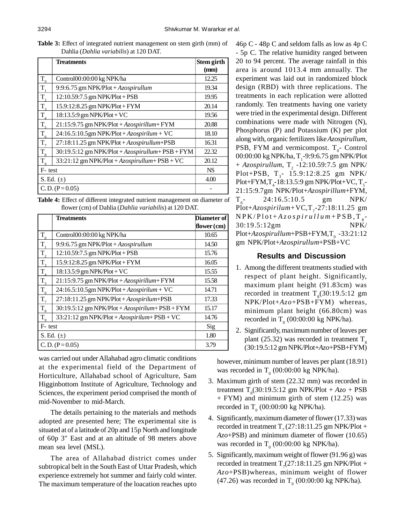**Table 3:** Effect of integrated nutrient management on stem girth (mm) of Dahlia (*Dahlia variabilis*) at 120 DAT.

|                 | <b>Treatments</b>                                 | Stem girth<br>(mm) |  |
|-----------------|---------------------------------------------------|--------------------|--|
|                 |                                                   |                    |  |
| $T_{0}$         | Control00:00:00 kg NPK/ha                         | 12.25              |  |
| $T_{1}$         | 9:9:6.75 gm NPK/Plot + $Azospirulum$              | 19.34              |  |
| $T_{\text{c}}$  | 12:10.59:7.5 gm NPK/Plot + PSB                    | 19.95              |  |
| $T_{3}$         | 15.9:12:8.25 gm NPK/Plot + FYM                    | 20.14              |  |
| $T_{4}$         | 18:13.5:9 gm NPK/Plot + VC                        | 19.56              |  |
| $T_{\rm 5}$     | 21:15:9.75 gm NPK/Plot + Azospirillum + FYM       | 20.88              |  |
| $T_{6}$         | $24:16.5:10.5$ gm NPK/Plot + Azospirilum + VC     | 18.10              |  |
| $T_{7}$         | 27:18:11.25 gm NPK/Plot + Azospirullum+PSB        | 16.31              |  |
| $T_{\rm 8}$     | 30:19.5:12 gm NPK/Plot + Azospirullum + PSB + FYM | 22.32              |  |
| $T_{\rm q}$     | 33:21:12 gm NPK/Plot + Azospirullum+ PSB + VC     | 20.12              |  |
| F-test          |                                                   | <b>NS</b>          |  |
| S. Ed. $(\pm)$  | 4.00                                              |                    |  |
| $C.D. (P=0.05)$ |                                                   |                    |  |

**Table 4:** Effect of different integrated nutrient management on diameter of flower (cm) of Dahlia (*Dahlia variabilis*) at 120 DAT.

|                   | <b>Treatments</b>                               | <b>Diameter of</b> |
|-------------------|-------------------------------------------------|--------------------|
|                   |                                                 | flower $(cm)$      |
| $T_{0}$           | Control00:00:00 kg NPK/ha                       | 10.65              |
| $T_{1}$           | 9:9:6.75 gm NPK/Plot + Azospirullum             | 14.50              |
| $T_{2}$           | $12:10.59:7.5$ gm NPK/Plot + PSB                | 15.76              |
| $T_3$             | 15.9:12:8.25 gm NPK/Plot + FYM                  | 16.05              |
| $\underline{T}_4$ | 18:13.5:9 gm NPK/Plot + VC                      | 15.55              |
|                   | 21:15:9.75 gm NPK/Plot + Azospirillum + FYM     | 15.58              |
| $T_{\frac{5}{6}}$ | $24:16.5:10.5$ gm NPK/Plot + Azospirilum + VC   | 14.71              |
| $T_{7}$           | 27:18:11.25 gm NPK/Plot + Azospirilum+PSB       | 17.33              |
| $T_{\rm 8}$       | 30:19.5:12 gm NPK/Plot + Azospirilum+ PSB + FYM | 15.17              |
| $T_{\rm q}$       | $33:21:12$ gm NPK/Plot + Azospirilum + PSB + VC | 14.76              |
| F-test            |                                                 | Sig                |
| S. Ed. $(\pm)$    | 1.80                                            |                    |
| $C.D. (P=0.05)$   |                                                 | 3.79               |

was carried out under Allahabad agro climatic conditions at the experimental field of the Department of Horticulture, Allahabad school of Agriculture, Sam Higginbottom Institute of Agriculture, Technology and Sciences, the experiment period comprised the month of mid-November to mid-March.

The details pertaining to the materials and methods adopted are presented here; The experimental site is situated at of a latitude of 20p and 15p North and longitude of 60p 3" East and at an altitude of 98 meters above mean sea level (MSL).

The area of Allahabad district comes under subtropical belt in the South East of Uttar Pradesh, which experience extremely hot summer and fairly cold winter. The maximum temperature of the loacation reaches upto

46p C - 48p C and seldom falls as low as 4p C - 5p C. The relative humidity ranged between 20 to 94 percent. The average rainfall in this area is around 1013.4 mm annually. The experiment was laid out in randomized block design (RBD) with three replications. The treatments in each replication were allotted randomly. Ten treatments having one variety were tried in the experimental design. Different combinations were made with Nitrogen (N), Phosphorus (P) and Potassium (K) per plot along with, organic fertilizers like *Azospirullum*, PSB, FYM and vermicompost.  $T_{0}$ - Control 00:00:00 kg NPK/ha, T<sub>1</sub>-9:9:6.75 gm NPK/Plot  $+$  *Azospirullum*, T<sub>2</sub> -12:10.59:7.5 gm NPK/ Plot+PSB,  $T_{3}$ - 15.9:12:8.25 gm NPK/ Plot+FYM,T<sub>4</sub>-18:13.5:9 gm NPK/Plot+VC,T<sub>5</sub>-21:15:9.7gm NPK/Plot+*Azospirillum*+FYM,  $T_{6}$ -24:16.5:10.5 gm NPK/ Plot+*Azospirilum*+VC,T<sub>7</sub>-27:18:11.25 gm  $N$  P K / P l o t + *A z o s p i r u l l u m* + P S B , T  $_{8}$  -30:19.5:12gm NPK/ Plot+*Azospirullum*+PSB+FYM,T<sub>9</sub> -33:21:12 gm NPK/Plot+*Azospirullum*+PSB+VC

## **Results and Discussion**

- 1. Among the different treatments studied with respect of plant height. Significantly, maximum plant height (91.83cm) was recorded in treatment  $T_s(30:19.5:12 \text{ gm})$ NPK/Plot+*Azo*+PSB+FYM) whereas, minimum plant height (66.80cm) was recorded in  $T_0$  (00:00:00 kg NPK/ha).
- 2. Significantly, maximum number of leaves per plant (25.32) was recorded in treatment  $T<sub>8</sub>$ (30:19.5:12 gm NPK/Plot+*Azo*+PSB+FYM)

however, minimum number of leaves per plant (18.91) was recorded in  $T_0$  (00:00:00 kg NPK/ha).

- 3. Maximum girth of stem (22.32 mm) was recorded in treatment  $T_s(30:19.5:12 \text{ gm NPK/Plot} + Azo + PSB)$ + FYM) and minimum girth of stem (12.25) was recorded in  $T_0$  (00:00:00 kg NPK/ha).
- 4. Significantly, maximum diameter of flower (17.33) was recorded in treatment  $T_7$  (27:18:11.25 gm NPK/Plot + *Azo*+PSB) and minimum diameter of flower (10.65) was recorded in  $T_0$  (00:00:00 kg NPK/ha).
- 5. Significantly, maximum weight of flower (91.96 g) was recorded in treatment  $T_7(27:18:11.25 \text{ gm } \text{NPK/Plot} +$ *Azo*+PSB)whereas, minimum weight of flower (47.26) was recorded in  $T_0$  (00:00:00 kg NPK/ha).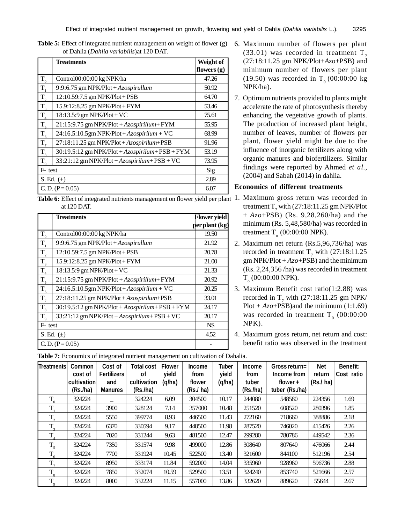|                             | <b>Treatments</b>                                  | Weight of<br>flowers $(g)$ |
|-----------------------------|----------------------------------------------------|----------------------------|
|                             | Control00:00:00 kg NPK/ha                          | 47.26                      |
| $\frac{T_0}{T_1}$           | 9:9:6.75 gm NPK/Plot + Azospirullum                | 50.92                      |
| $\overline{T}_{2}$          | 12:10.59:7.5 gm NPK/Plot + PSB                     | 64.70                      |
| $T_3$                       | 15.9:12:8.25 gm NPK/Plot + FYM                     | 53.46                      |
| $\overline{T}_4$            | 18:13.5:9 gm NPK/Plot + VC                         | 75.61                      |
| $T_{\rm 5}$                 | 21:15:9.75 gm NPK/Plot + Azospirillum + FYM        | 55.95                      |
|                             | $24:16.5:10.5$ gm NPK/Plot + Azospirilum + VC      | 68.99                      |
| $\frac{T_6}{T_7}$           | 27:18:11.25 gm NPK/Plot + Azospirilum+PSB          | 91.96                      |
| $T_{8}$                     | $30:19.5:12$ gm NPK/Plot + Azospirilum + PSB + FYM | 53.19                      |
| $\overline{T_{\mathrm{Q}}}$ | $33:21:12$ gm NPK/Plot + Azospirilum + PSB + VC    | 73.95                      |
| F-test                      |                                                    | Sig                        |
| S. Ed. $(\pm)$              |                                                    | 2.89                       |
| $C.D. (P=0.05)$             | 6.07                                               |                            |

**Table 5:** Effect of integrated nutrient management on weight of flower (g) 6. Maximum number of flowers per plant of Dahlia (*Dahlia variabilis*)at 120 DAT.

**Table 6:** Effect of integrated nutrients management on flower yield per plant 1. Maximum gross return was recorded in at 120 DAT.

|                         | <b>Treatments</b>                                  | <b>Flower yield</b> |
|-------------------------|----------------------------------------------------|---------------------|
|                         |                                                    | per plant (kg)      |
| $\mathbf{T}_\mathrm{0}$ | Control00:00:00 kg NPK/ha                          | 19.50               |
| $T_{1}$                 | 9:9:6.75 gm NPK/Plot + $Azospirullum$              | 21.92               |
| $T_{2}$                 | 12:10.59:7.5 gm NPK/Plot + PSB                     | 20.78               |
| $T_{3}$                 | 15.9:12:8.25 gm NPK/Plot + FYM                     | 21.00               |
| $T_{4}$                 | 18:13.5:9 gm NPK/Plot + VC                         | 21.33               |
| $T_{\frac{5}{5}}$       | 21:15:9.75 gm NPK/Plot + Azospirillum + FYM        | 20.92               |
| $T_{6}$                 | $24:16.5:10.5$ gm NPK/Plot + Azospirilum + VC      | 20.25               |
| $T_{7}$                 | 27:18:11.25 gm NPK/Plot + Azospirilum+PSB          | 33.01               |
| $T_{\rm 8}$             | $30:19.5:12$ gm NPK/Plot + Azospirilum + PSB + FYM | 24.17               |
| $T_{9}$                 | 33:21:12 gm NPK/Plot + Azospirilum+ PSB + VC       | 20.17               |
| F-test                  |                                                    | <b>NS</b>           |
| S. Ed. $(\pm)$          | 4.52                                               |                     |
| $C.D. (P=0.05)$         |                                                    |                     |

- $(33.01)$  was recorded in treatment T<sub>7</sub> (27:18:11.25 gm NPK/Plot+*Azo*+PSB) and minimum number of flowers per plant (19.50) was recorded in  $T_0 (00:00:00 \text{ kg})$ NPK/ha).
- 7. Optimum nutrients provided to plants might accelerate the rate of photosynthesis thereby enhancing the vegetative growth of plants. The production of increased plant height, number of leaves, number of flowers per plant, flower yield might be due to the influence of inorganic fertilizers along with organic manures and biofertilizers. Similar findings were reported by Ahmed *et al.,* (2004) and Sabah (2014) in dahlia.

#### **Economics of different treatments**

- treatment  $\text{T}_7$  with (27:18:11.25 gm NPK/Plot + *Azo*+PSB) (Rs. 9,28,260/ha) and the minimum (Rs. 5,48,580/ha) was recorded in treatment  $T_0$  (00:00:00 NPK).
- 2. Maximum net return (Rs.5,96,736/ha) was recorded in treatment  $T_7$  with (27:18:11.25) gm NPK/Plot + *Azo*+PSB) and the minimum (Rs. 2,24,356 /ha) was recorded in treatment  $T_{_{\rm o}}$  (00:00:00 NPK).
- 3. Maximum Benefit cost ratio(1:2.88) was recorded in  $T_7$  with (27:18:11.25 gm NPK/ Plot  $+ A\mathcal{Z}o + PSB$ ) and the minimum (1:1.69) was recorded in treatment  $T_{0}$  (00:00:00 NPK).
- 4. Maximum gross return, net return and cost: benefit ratio was observed in the treatment

| <b>Treatments</b> | Common<br>cost of<br>cultivation<br>(Rs/ha) | Cost of<br><b>Fertilizers</b><br>and<br>Manures | <b>Total cost</b><br>οf<br>cultivation<br>(Rs/ha) | <b>Flower</b><br>yield<br>(q/ha) | <b>Income</b><br>from<br>flower<br>(Rs./ ha) | <b>Tuber</b><br>yield<br>(q/ha) | <b>Income</b><br>from<br>tuber<br>(Rs./ha) | Gross return=<br>Income from<br>flower $+$<br>tuber (Rs./ha) | <b>Net</b><br>return<br>(Rs./ha) | <b>Benefit:</b><br>Cost ratio |
|-------------------|---------------------------------------------|-------------------------------------------------|---------------------------------------------------|----------------------------------|----------------------------------------------|---------------------------------|--------------------------------------------|--------------------------------------------------------------|----------------------------------|-------------------------------|
| $T_{0}$           | 324224                                      |                                                 | 324224                                            | 6.09                             | 304500                                       | 10.17                           | 244080                                     | 548580                                                       | 224356                           | 1.69                          |
| T                 | 324224                                      | 3900                                            | 328124                                            | 7.14                             | 357000                                       | 10.48                           | 251520                                     | 608520                                                       | 280396                           | 1.85                          |
| $T_{2}$           | 324224                                      | 5550                                            | 399774                                            | 8.93                             | 446500                                       | 11.43                           | 272160                                     | 718660                                                       | 388886                           | 2.18                          |
| $T_{\rm a}$       | 324224                                      | 6370                                            | 330594                                            | 9.17                             | 448500                                       | 11.98                           | 287520                                     | 746020                                                       | 415426                           | 2.26                          |
| $T_{\rm s}$       | 324224                                      | 7020                                            | 331244                                            | 9.63                             | 481500                                       | 12.47                           | 299280                                     | 780786                                                       | 449542                           | 2.36                          |
| T <sub>5</sub>    | 324224                                      | 7350                                            | 331574                                            | 9.98                             | 499000                                       | 12.86                           | 308640                                     | 807640                                                       | 476066                           | 2.44                          |
| $T_{6}$           | 324224                                      | 7700                                            | 331924                                            | 10.45                            | 522500                                       | 13.40                           | 321600                                     | 844100                                                       | 512196                           | 2.54                          |
| $T_{\tau}$        | 324224                                      | 8950                                            | 333174                                            | 11.84                            | 592000                                       | 14.04                           | 335960                                     | 928960                                                       | 596736                           | 2.88                          |
| $T_{8}$           | 324224                                      | 7850                                            | 332074                                            | 10.59                            | 529500                                       | 13.51                           | 324240                                     | 853740                                                       | 521666                           | 2.57                          |
| $T_{\rm q}$       | 324224                                      | 8000                                            | 332224                                            | 11.15                            | 557000                                       | 13.86                           | 332620                                     | 889620                                                       | 55644                            | 2.67                          |

**Table 7:** Economics of integrated nutrient management on cultivation of Dahalia.